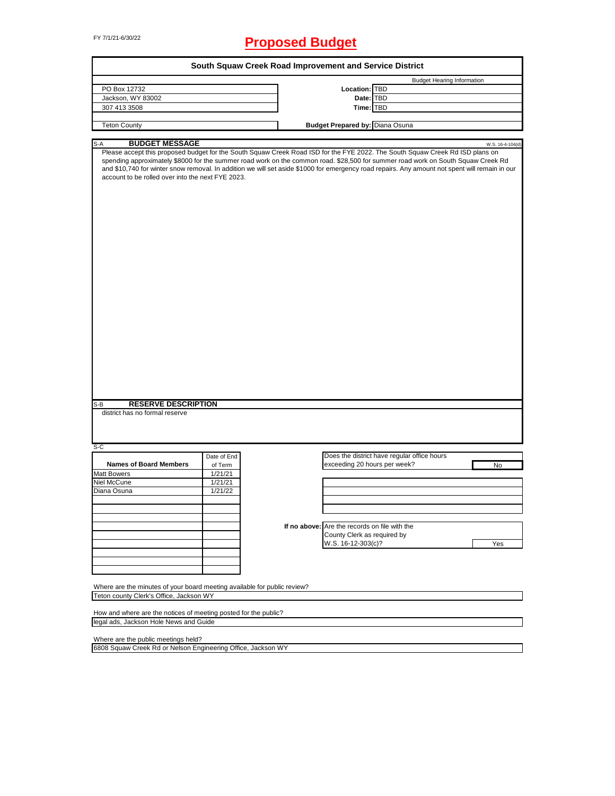# FY 7/1/21-6/30/22 **Proposed Budget**

|                                                                                                                                                                                                                                                                                                                                                                                                                                                                                                   |             | South Squaw Creek Road Improvement and Service District |                                             |                                   |
|---------------------------------------------------------------------------------------------------------------------------------------------------------------------------------------------------------------------------------------------------------------------------------------------------------------------------------------------------------------------------------------------------------------------------------------------------------------------------------------------------|-------------|---------------------------------------------------------|---------------------------------------------|-----------------------------------|
|                                                                                                                                                                                                                                                                                                                                                                                                                                                                                                   |             |                                                         |                                             | <b>Budget Hearing Information</b> |
| PO Box 12732                                                                                                                                                                                                                                                                                                                                                                                                                                                                                      |             | Location: TBD                                           |                                             |                                   |
| Jackson, WY 83002                                                                                                                                                                                                                                                                                                                                                                                                                                                                                 |             | Date: TBD                                               |                                             |                                   |
| 307 413 3508                                                                                                                                                                                                                                                                                                                                                                                                                                                                                      |             | Time: TBD                                               |                                             |                                   |
| <b>Teton County</b>                                                                                                                                                                                                                                                                                                                                                                                                                                                                               |             | <b>Budget Prepared by: Diana Osuna</b>                  |                                             |                                   |
| S-A                                                                                                                                                                                                                                                                                                                                                                                                                                                                                               |             |                                                         |                                             |                                   |
| <b>BUDGET MESSAGE</b><br>Please accept this proposed budget for the South Squaw Creek Road ISD for the FYE 2022. The South Squaw Creek Rd ISD plans on<br>spending approximately \$8000 for the summer road work on the common road. \$28,500 for summer road work on South Squaw Creek Rd<br>and \$10,740 for winter snow removal. In addition we will set aside \$1000 for emergency road repairs. Any amount not spent will remain in our<br>account to be rolled over into the next FYE 2023. |             |                                                         |                                             | W.S. 16-4-104(d)                  |
| <b>RESERVE DESCRIPTION</b><br>S-B<br>district has no formal reserve                                                                                                                                                                                                                                                                                                                                                                                                                               |             |                                                         |                                             |                                   |
|                                                                                                                                                                                                                                                                                                                                                                                                                                                                                                   |             |                                                         |                                             |                                   |
|                                                                                                                                                                                                                                                                                                                                                                                                                                                                                                   |             |                                                         |                                             |                                   |
| $S-C$                                                                                                                                                                                                                                                                                                                                                                                                                                                                                             |             |                                                         |                                             |                                   |
|                                                                                                                                                                                                                                                                                                                                                                                                                                                                                                   | Date of End |                                                         | Does the district have regular office hours |                                   |
| <b>Names of Board Members</b>                                                                                                                                                                                                                                                                                                                                                                                                                                                                     | of Term     | exceeding 20 hours per week?                            |                                             | No                                |
|                                                                                                                                                                                                                                                                                                                                                                                                                                                                                                   | 1/21/21     |                                                         |                                             |                                   |
|                                                                                                                                                                                                                                                                                                                                                                                                                                                                                                   | 1/21/21     |                                                         |                                             |                                   |
|                                                                                                                                                                                                                                                                                                                                                                                                                                                                                                   | 1/21/22     |                                                         |                                             |                                   |
|                                                                                                                                                                                                                                                                                                                                                                                                                                                                                                   |             |                                                         |                                             |                                   |
|                                                                                                                                                                                                                                                                                                                                                                                                                                                                                                   |             |                                                         |                                             |                                   |
|                                                                                                                                                                                                                                                                                                                                                                                                                                                                                                   |             | If no above: Are the records on file with the           |                                             |                                   |
|                                                                                                                                                                                                                                                                                                                                                                                                                                                                                                   |             | County Clerk as required by                             |                                             |                                   |
| <b>Matt Bowers</b><br>Niel McCune<br>Diana Osuna                                                                                                                                                                                                                                                                                                                                                                                                                                                  |             | W.S. 16-12-303(c)?                                      |                                             | Yes                               |
|                                                                                                                                                                                                                                                                                                                                                                                                                                                                                                   |             |                                                         |                                             |                                   |
|                                                                                                                                                                                                                                                                                                                                                                                                                                                                                                   |             |                                                         |                                             |                                   |
|                                                                                                                                                                                                                                                                                                                                                                                                                                                                                                   |             |                                                         |                                             |                                   |
|                                                                                                                                                                                                                                                                                                                                                                                                                                                                                                   |             |                                                         |                                             |                                   |
| Where are the minutes of your board meeting available for public review?<br>Teton county Clerk's Office, Jackson WY                                                                                                                                                                                                                                                                                                                                                                               |             |                                                         |                                             |                                   |
|                                                                                                                                                                                                                                                                                                                                                                                                                                                                                                   |             |                                                         |                                             |                                   |

Where are the public meetings held?

6808 Squaw Creek Rd or Nelson Engineering Office, Jackson WY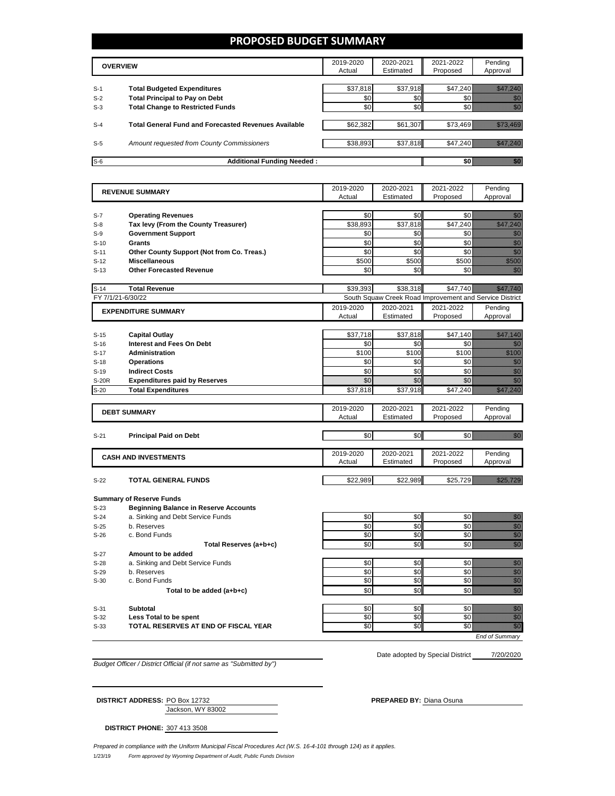### **PROPOSED BUDGET SUMMARY**

|       | <b>OVERVIEW</b>                                             |          | 2020-2021<br>Estimated | 2021-2022<br>Proposed | Pending<br>Approval |
|-------|-------------------------------------------------------------|----------|------------------------|-----------------------|---------------------|
| $S-1$ | <b>Total Budgeted Expenditures</b>                          | \$37.818 | \$37,918               | \$47.240              |                     |
| $S-2$ | <b>Total Principal to Pay on Debt</b>                       | \$0      | \$0                    |                       |                     |
| $S-3$ | <b>Total Change to Restricted Funds</b>                     | \$0      | \$0                    |                       |                     |
| $S-4$ | <b>Total General Fund and Forecasted Revenues Available</b> | \$62,382 | \$61,307               | \$73.469              |                     |
| $S-5$ | Amount requested from County Commissioners                  | \$38,893 | \$37,818               | \$47,240              |                     |
| $S-6$ | <b>Additional Funding Needed:</b>                           |          |                        |                       |                     |

|        | <b>REVENUE SUMMARY</b>                       | 2019-2020 | 2020-2021 | 2021-2022                                               | Pending                                                                                                                                                                                                                           |
|--------|----------------------------------------------|-----------|-----------|---------------------------------------------------------|-----------------------------------------------------------------------------------------------------------------------------------------------------------------------------------------------------------------------------------|
|        |                                              | Actual    | Estimated | Proposed                                                | Approval                                                                                                                                                                                                                          |
|        |                                              |           |           |                                                         |                                                                                                                                                                                                                                   |
| $S-7$  | <b>Operating Revenues</b>                    | \$0       | \$0       | \$0                                                     | e di B                                                                                                                                                                                                                            |
| $S-8$  | Tax levy (From the County Treasurer)         | \$38,893  | \$37,818  | \$47,240                                                | eliteratur.<br>Mahaliful kalendari                                                                                                                                                                                                |
| $S-9$  | <b>Government Support</b>                    | \$0       | \$0       | \$0                                                     | en de la familie de la familie de la familie de la familie de la familie de la familie de la familie de la fam<br>Constitution de la familie de la familie de la familie de la familie de la familie de la familie de la familie  |
| $S-10$ | Grants                                       | \$0       | \$0       | \$0                                                     | en de la familie de la familie de la familie de la familie de la familie de la familie de la familie de la fam<br>Constituit de la familie de la familie de la familie de la familie de la familie de la familie de la familie d  |
| $S-11$ | Other County Support (Not from Co. Treas.)   | \$0       | \$0       | \$0                                                     | en de la filòlogía<br>Album de la filòlogía                                                                                                                                                                                       |
| $S-12$ | <b>Miscellaneous</b>                         | \$500     | \$500     | \$500                                                   | a a an an t-                                                                                                                                                                                                                      |
| $S-13$ | <b>Other Forecasted Revenue</b>              | \$0       | \$0       | \$0                                                     | en de la familie de la familie de la familie de la familie de la familie de la familie de la familie de la fam<br>De la familie de la familie de la familie de la familie de la familie de la familie de la familie de la famili  |
|        |                                              |           |           |                                                         |                                                                                                                                                                                                                                   |
| $S-14$ | <b>Total Revenue</b>                         | \$39.393  | \$38.318  | \$47,740                                                | <u>ilikuwa k</u>                                                                                                                                                                                                                  |
|        | FY 7/1/21-6/30/22                            |           |           | South Squaw Creek Road Improvement and Service District |                                                                                                                                                                                                                                   |
|        | <b>EXPENDITURE SUMMARY</b>                   | 2019-2020 | 2020-2021 | 2021-2022                                               | Pending                                                                                                                                                                                                                           |
|        |                                              | Actual    | Estimated | Proposed                                                | Approval                                                                                                                                                                                                                          |
|        |                                              |           |           |                                                         |                                                                                                                                                                                                                                   |
| $S-15$ | <b>Capital Outlay</b>                        | \$37,718  | \$37,818  | \$47,140                                                | <u> Hillian Sa</u>                                                                                                                                                                                                                |
| $S-16$ | <b>Interest and Fees On Debt</b>             | \$0       | \$0       | \$0                                                     | en de la familie de la familie de la familie de la familie de la familie de la familie de la familie de la fam<br>De la familie de la familie de la familie de la familie de la familie de la familie de la familie de la famili  |
| $S-17$ | <b>Administration</b>                        | \$100     | \$100     | \$100                                                   | <u>ti k</u>                                                                                                                                                                                                                       |
| $S-18$ | <b>Operations</b>                            | \$0       | \$0       | \$0                                                     | en de la familie de la familie de la familie de la familie de la familie de la familie de la familie de la fam<br>Constitution de la familie de la familie de la familie de la familie de la familie de la familie de la familie  |
| $S-19$ | <b>Indirect Costs</b>                        | \$0       | \$0       | \$0                                                     | en de la familie de la familie de la familie de la familie de la familie de la familie de la familie de la fa<br>Constitution de la familie de la familie de la familie de la familie de la familie de la familie de la familie   |
| S-20R  | <b>Expenditures paid by Reserves</b>         | \$0       | \$0       | \$0                                                     | en de la familie de la familie de la familie de la familie de la familie de la familie de la familie de la fa<br>Constitution de la familie de la familie de la familie de la familie de la familie de la familie de la familie   |
| $S-20$ | <b>Total Expenditures</b>                    | \$37,818  | \$37,918  | \$47,240                                                | <u>elle till till stor</u>                                                                                                                                                                                                        |
|        |                                              |           |           |                                                         |                                                                                                                                                                                                                                   |
|        | <b>DEBT SUMMARY</b>                          | 2019-2020 | 2020-2021 | 2021-2022                                               | Pending                                                                                                                                                                                                                           |
|        |                                              | Actual    | Estimated | Proposed                                                | Approval                                                                                                                                                                                                                          |
|        |                                              |           |           |                                                         |                                                                                                                                                                                                                                   |
| $S-21$ | <b>Principal Paid on Debt</b>                | \$0       | \$0       | \$0                                                     | en de la familie de la familie de la familie de la familie de la familie de la familie de la familie de la fam<br>De la familie de la familie de la familie de la familie de la familie de la familie de la familie de la famili  |
|        |                                              |           |           |                                                         |                                                                                                                                                                                                                                   |
|        | <b>CASH AND INVESTMENTS</b>                  | 2019-2020 | 2020-2021 | 2021-2022                                               | Pending                                                                                                                                                                                                                           |
|        |                                              | Actual    | Estimated | Proposed                                                | Approval                                                                                                                                                                                                                          |
|        |                                              |           |           |                                                         |                                                                                                                                                                                                                                   |
| $S-22$ | TOTAL GENERAL FUNDS                          | \$22,989  | \$22,989  | \$25,729                                                | <u> Hillian Sta</u>                                                                                                                                                                                                               |
|        |                                              |           |           |                                                         |                                                                                                                                                                                                                                   |
|        | <b>Summary of Reserve Funds</b>              |           |           |                                                         |                                                                                                                                                                                                                                   |
| $S-23$ | <b>Beginning Balance in Reserve Accounts</b> |           |           |                                                         |                                                                                                                                                                                                                                   |
| $S-24$ | a. Sinking and Debt Service Funds            | \$0       | \$0       | \$0                                                     | en 1979.<br>Mala                                                                                                                                                                                                                  |
| $S-25$ | b. Reserves                                  | \$0       | \$0       | \$0                                                     | e de la construcción de la construcción de la construcción de la construcción de la construcción de la construcció<br>Construcción de la construcción de la construcción de la construcción de la construcción de la construcción |
| $S-26$ | c. Bond Funds                                | \$0       | \$0       | \$0                                                     |                                                                                                                                                                                                                                   |
|        | Total Reserves (a+b+c)                       | \$0       | \$0       | \$0                                                     | en de la filosofia<br>Maria de la filòla del conte del conte del conte del conte del conte del conte del conte del conte del conte d                                                                                              |
| $S-27$ | Amount to be added                           |           |           |                                                         |                                                                                                                                                                                                                                   |
| $S-28$ | a. Sinking and Debt Service Funds            | \$0       | \$0       | \$0                                                     | en de la familie de la familie de la familie de la familie de la familie de la familie de la familie de la fam<br>Constitution de la familie de la familie de la familie de la familie de la familie de la familie de la familie  |
|        |                                              | \$0       | \$0       | \$0                                                     | eri<br>Mala                                                                                                                                                                                                                       |
| $S-29$ | b. Reserves                                  |           |           |                                                         |                                                                                                                                                                                                                                   |
| $S-30$ | c. Bond Funds                                | \$0       | \$0       | \$0                                                     | enne<br>Mille                                                                                                                                                                                                                     |
|        | Total to be added (a+b+c)                    | \$0       | \$0       | \$0                                                     | en de la falsa de la falsa de la falsa de la falsa de la falsa de la falsa de la falsa de la falsa de la falsa<br>Constantinople                                                                                                  |
|        |                                              |           |           |                                                         |                                                                                                                                                                                                                                   |
| S-31   | Subtotal                                     | \$0       | \$0       | \$0                                                     | en de la forma<br>Baldeza                                                                                                                                                                                                         |
| $S-32$ | Less Total to be spent                       | \$0       | \$0       | \$0                                                     | en de la filosofia<br>Altres de la filòlogía                                                                                                                                                                                      |
| $S-33$ | TOTAL RESERVES AT END OF FISCAL YEAR         | \$0       | \$0       | \$0                                                     | en de la filòlogía<br>Establecidades                                                                                                                                                                                              |

*Budget Officer / District Official (if not same as "Submitted by")*

Date adopted by Special District 7/20/2020

Jackson, WY 83002 **DISTRICT ADDRESS:** PO Box 12732 **PREPARED BY:** Diana Osuna

**DISTRICT PHONE:** 307 413 3508

*Prepared in compliance with the Uniform Municipal Fiscal Procedures Act (W.S. 16-4-101 through 124) as it applies.*

1/23/19 *Form approved by Wyoming Department of Audit, Public Funds Division*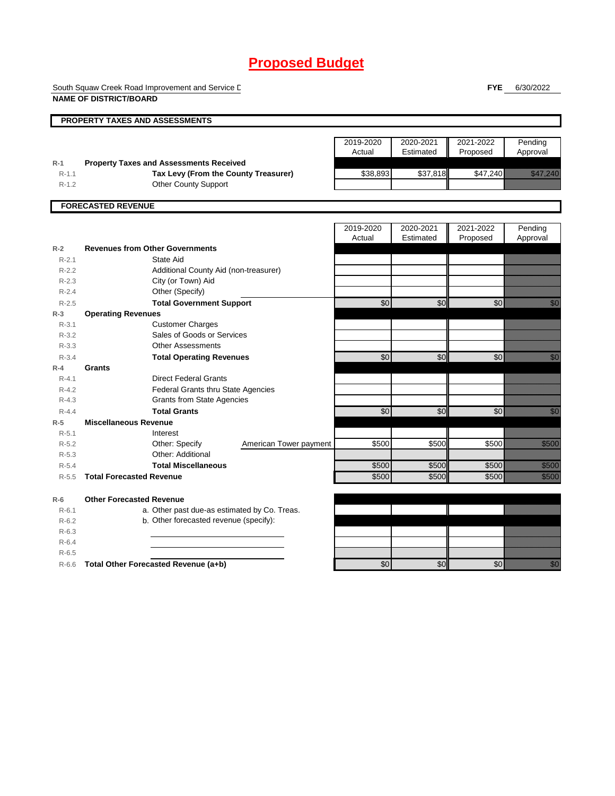South Squaw Creek Road Improvement and Service District **NAME OF DISTRICT/BOARD**

**FYE** 6/30/2022

| PROPERTY TAXES AND ASSESSMENTS |                                 |                                                |                        |                 |                 |           |                                                                                                                                                                                                                                  |  |
|--------------------------------|---------------------------------|------------------------------------------------|------------------------|-----------------|-----------------|-----------|----------------------------------------------------------------------------------------------------------------------------------------------------------------------------------------------------------------------------------|--|
|                                |                                 |                                                |                        |                 |                 |           |                                                                                                                                                                                                                                  |  |
|                                |                                 |                                                |                        | 2019-2020       | 2020-2021       | 2021-2022 | Pending                                                                                                                                                                                                                          |  |
|                                |                                 |                                                |                        | Actual          | Estimated       | Proposed  | Approval                                                                                                                                                                                                                         |  |
| $R-1$                          |                                 | <b>Property Taxes and Assessments Received</b> |                        |                 |                 |           |                                                                                                                                                                                                                                  |  |
| $R-1.1$                        |                                 | Tax Levy (From the County Treasurer)           |                        | \$38,893        | \$37,818        | \$47,240  | <u>i kalendari komunisti</u>                                                                                                                                                                                                     |  |
| $R-1.2$                        |                                 | <b>Other County Support</b>                    |                        |                 |                 |           |                                                                                                                                                                                                                                  |  |
|                                |                                 |                                                |                        |                 |                 |           |                                                                                                                                                                                                                                  |  |
|                                | <b>FORECASTED REVENUE</b>       |                                                |                        |                 |                 |           |                                                                                                                                                                                                                                  |  |
|                                |                                 |                                                |                        |                 |                 |           |                                                                                                                                                                                                                                  |  |
|                                |                                 |                                                |                        | 2019-2020       | 2020-2021       | 2021-2022 | Pending                                                                                                                                                                                                                          |  |
|                                |                                 |                                                |                        | Actual          | Estimated       | Proposed  | Approval                                                                                                                                                                                                                         |  |
| $R-2$                          |                                 | <b>Revenues from Other Governments</b>         |                        |                 |                 |           |                                                                                                                                                                                                                                  |  |
| $R - 2.1$                      |                                 | State Aid                                      |                        |                 |                 |           |                                                                                                                                                                                                                                  |  |
| $R - 2.2$                      |                                 | Additional County Aid (non-treasurer)          |                        |                 |                 |           |                                                                                                                                                                                                                                  |  |
| $R - 2.3$                      |                                 | City (or Town) Aid                             |                        |                 |                 |           |                                                                                                                                                                                                                                  |  |
| $R - 2.4$                      |                                 | Other (Specify)                                |                        |                 |                 |           |                                                                                                                                                                                                                                  |  |
| $R - 2.5$                      |                                 | <b>Total Government Support</b>                |                        | $\overline{50}$ | \$0             | \$0       | en de la familie de la familie de la familie de la familie de la familie de la familie de la familie de la fam<br>Constitution de la familie de la familie de la familie de la familie de la familie de la familie de la familie |  |
| $R-3$                          | <b>Operating Revenues</b>       |                                                |                        |                 |                 |           |                                                                                                                                                                                                                                  |  |
| $R - 3.1$                      |                                 | <b>Customer Charges</b>                        |                        |                 |                 |           |                                                                                                                                                                                                                                  |  |
| $R - 3.2$                      |                                 | Sales of Goods or Services                     |                        |                 |                 |           |                                                                                                                                                                                                                                  |  |
| $R - 3.3$                      |                                 | <b>Other Assessments</b>                       |                        |                 |                 |           |                                                                                                                                                                                                                                  |  |
| $R - 3.4$                      |                                 | <b>Total Operating Revenues</b>                |                        | $\overline{60}$ | \$0             | \$0       | en de la falsa de la falsa de la falsa de la falsa de la falsa de la falsa de la falsa de la falsa de la falsa<br>El falsa de la falsa de la falsa de la falsa de la falsa de la falsa de la falsa de la falsa de la falsa de la |  |
| $R-4$                          | Grants                          |                                                |                        |                 |                 |           |                                                                                                                                                                                                                                  |  |
| $R - 4.1$                      |                                 | <b>Direct Federal Grants</b>                   |                        |                 |                 |           |                                                                                                                                                                                                                                  |  |
| $R - 4.2$                      |                                 | Federal Grants thru State Agencies             |                        |                 |                 |           |                                                                                                                                                                                                                                  |  |
| $R - 4.3$                      |                                 | <b>Grants from State Agencies</b>              |                        |                 |                 |           |                                                                                                                                                                                                                                  |  |
| $R - 4.4$                      |                                 | <b>Total Grants</b>                            |                        | $\overline{50}$ | \$0             | \$0       | en de la facta de la facta de la facta de la facta de la facta de la facta de la facta de la facta de la facta<br>El facta de la facta de la facta de la facta de la facta de la facta de la facta de la facta de la facta de la |  |
| $R-5$                          | <b>Miscellaneous Revenue</b>    |                                                |                        |                 |                 |           |                                                                                                                                                                                                                                  |  |
| $R - 5.1$                      |                                 | Interest                                       |                        |                 |                 |           |                                                                                                                                                                                                                                  |  |
| $R - 5.2$                      |                                 | Other: Specify                                 | American Tower payment | \$500           | \$500           | \$500     | <u>ti k</u>                                                                                                                                                                                                                      |  |
| $R - 5.3$                      |                                 | Other: Additional                              |                        |                 |                 |           |                                                                                                                                                                                                                                  |  |
| $R - 5.4$                      |                                 | <b>Total Miscellaneous</b>                     |                        | \$500           | \$500           | \$500     | <u>ti ka</u>                                                                                                                                                                                                                     |  |
| $R - 5.5$                      | <b>Total Forecasted Revenue</b> |                                                |                        | \$500           | \$500           | \$500     | <u>ti ka</u>                                                                                                                                                                                                                     |  |
|                                |                                 |                                                |                        |                 |                 |           |                                                                                                                                                                                                                                  |  |
| $R-6$                          | <b>Other Forecasted Revenue</b> |                                                |                        |                 |                 |           |                                                                                                                                                                                                                                  |  |
| $R - 6.1$                      |                                 | a. Other past due-as estimated by Co. Treas.   |                        |                 |                 |           |                                                                                                                                                                                                                                  |  |
| $R-6.2$                        |                                 | b. Other forecasted revenue (specify):         |                        |                 |                 |           |                                                                                                                                                                                                                                  |  |
| $R-6.3$                        |                                 |                                                |                        |                 |                 |           |                                                                                                                                                                                                                                  |  |
| $R-6.4$                        |                                 |                                                |                        |                 |                 |           |                                                                                                                                                                                                                                  |  |
| $R - 6.5$                      |                                 |                                                |                        |                 |                 |           |                                                                                                                                                                                                                                  |  |
| $R-6.6$                        |                                 | Total Other Forecasted Revenue (a+b)           |                        | \$0             | $\overline{50}$ | \$0       | en de la filosofia<br>Maria de la filosofia                                                                                                                                                                                      |  |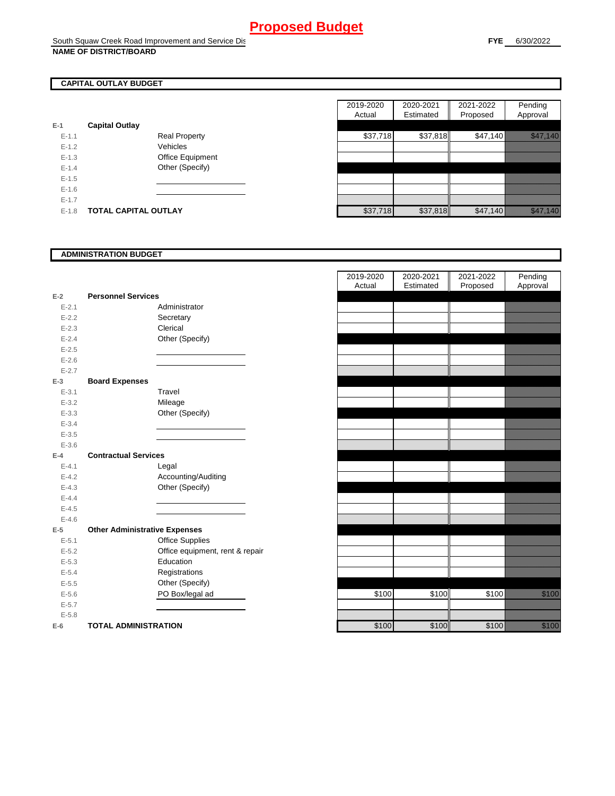## **CAPITAL OUTLAY BUDGET**

| $E-1$     | <b>Capital Outlay</b> |                         |
|-----------|-----------------------|-------------------------|
| $E - 1.1$ |                       | <b>Real Property</b>    |
| $E - 1.2$ |                       | Vehicles                |
| $E - 1.3$ |                       | <b>Office Equipment</b> |
| $F-14$    |                       | Other (Specify)         |
| $F-1.5$   |                       |                         |
| $F-16$    |                       |                         |
| $F-17$    |                       |                         |
| $E - 1.8$ | TOTAL CAPITAL OUTLAY  |                         |

|           |                             |                      | 2019-2020 | 2020-2021 | 2021-2022 | Pending               |
|-----------|-----------------------------|----------------------|-----------|-----------|-----------|-----------------------|
|           |                             |                      | Actual    | Estimated | Proposed  | Approval              |
|           | <b>Capital Outlay</b>       |                      |           |           |           |                       |
| $E - 1.1$ |                             | <b>Real Property</b> | \$37,718  | \$37,818  | \$47,140  | <u> Indian San Sa</u> |
| $E - 1.2$ |                             | Vehicles             |           |           |           |                       |
| $E-1.3$   |                             | Office Equipment     |           |           |           |                       |
| $E - 1.4$ |                             | Other (Specify)      |           |           |           |                       |
| $E-1.5$   |                             |                      |           |           |           |                       |
| $E-1.6$   |                             |                      |           |           |           |                       |
| $E - 1.7$ |                             |                      |           |           |           |                       |
| $E-1.8$   | <b>TOTAL CAPITAL OUTLAY</b> |                      | \$37,718  | \$37,818  | \$47,140  | <u>i katalikana k</u> |

### **ADMINISTRATION BUDGET**

| $E-2$     | <b>Personnel Services</b>            |                                 |
|-----------|--------------------------------------|---------------------------------|
| $E - 2.1$ |                                      | Administrator                   |
| $E - 2.2$ |                                      | Secretary                       |
| $E - 2.3$ |                                      | Clerical                        |
| $E - 2.4$ |                                      | Other (Specify)                 |
| $E - 2.5$ |                                      |                                 |
| $E - 2.6$ |                                      |                                 |
| $E - 2.7$ |                                      |                                 |
| $E-3$     | <b>Board Expenses</b>                |                                 |
| $E - 3.1$ |                                      | Travel                          |
| $E - 3.2$ |                                      | Mileage                         |
| $E - 3.3$ |                                      | Other (Specify)                 |
| $E - 3.4$ |                                      |                                 |
| $E - 3.5$ |                                      |                                 |
| $E - 3.6$ |                                      |                                 |
| $E-4$     | <b>Contractual Services</b>          |                                 |
| $E - 4.1$ |                                      | Legal                           |
| $E-4.2$   |                                      | Accounting/Auditing             |
| $E - 4.3$ |                                      | Other (Specify)                 |
| $E-4.4$   |                                      |                                 |
| $E - 4.5$ |                                      |                                 |
| $E-4.6$   |                                      |                                 |
| $E-5$     | <b>Other Administrative Expenses</b> |                                 |
| $E - 5.1$ |                                      | <b>Office Supplies</b>          |
| $E - 5.2$ |                                      | Office equipment, rent & repair |
| $E - 5.3$ |                                      | Education                       |
| $E - 5.4$ |                                      | Registrations                   |
| $E - 5.5$ |                                      | Other (Specify)                 |
| $E - 5.6$ |                                      | PO Box/legal ad                 |
| $E - 5.7$ |                                      |                                 |
| $E - 5.8$ |                                      |                                 |
| $E-6$     | <b>TOTAL ADMINISTRATION</b>          |                                 |

|                |                                      | 2019-2020<br>Actual |       | 2020-2021<br>Estimated | 2021-2022<br>Proposed | Pending<br>Approval                                                                                                                                                                                                              |
|----------------|--------------------------------------|---------------------|-------|------------------------|-----------------------|----------------------------------------------------------------------------------------------------------------------------------------------------------------------------------------------------------------------------------|
| $\overline{a}$ | <b>Personnel Services</b>            |                     |       |                        |                       |                                                                                                                                                                                                                                  |
| $E - 2.1$      | Administrator                        |                     |       |                        |                       |                                                                                                                                                                                                                                  |
| $E - 2.2$      | Secretary                            |                     |       |                        |                       |                                                                                                                                                                                                                                  |
| $E - 2.3$      | Clerical                             |                     |       |                        |                       |                                                                                                                                                                                                                                  |
| $E - 2.4$      | Other (Specify)                      |                     |       |                        |                       |                                                                                                                                                                                                                                  |
| $E - 2.5$      |                                      |                     |       |                        |                       |                                                                                                                                                                                                                                  |
| $E - 2.6$      |                                      |                     |       |                        |                       |                                                                                                                                                                                                                                  |
| $E - 2.7$      |                                      |                     |       |                        |                       |                                                                                                                                                                                                                                  |
| 3              | <b>Board Expenses</b>                |                     |       |                        |                       |                                                                                                                                                                                                                                  |
| $E - 3.1$      | Travel                               |                     |       |                        |                       |                                                                                                                                                                                                                                  |
| $E - 3.2$      | Mileage                              |                     |       |                        |                       |                                                                                                                                                                                                                                  |
| $E - 3.3$      | Other (Specify)                      |                     |       |                        |                       |                                                                                                                                                                                                                                  |
| $E - 3.4$      |                                      |                     |       |                        |                       |                                                                                                                                                                                                                                  |
| $E - 3.5$      |                                      |                     |       |                        |                       |                                                                                                                                                                                                                                  |
| $E - 3.6$      |                                      |                     |       |                        |                       |                                                                                                                                                                                                                                  |
| ļ.             | <b>Contractual Services</b>          |                     |       |                        |                       |                                                                                                                                                                                                                                  |
| $E - 4.1$      | Legal                                |                     |       |                        |                       |                                                                                                                                                                                                                                  |
| $E - 4.2$      | Accounting/Auditing                  |                     |       |                        |                       |                                                                                                                                                                                                                                  |
| $E - 4.3$      | Other (Specify)                      |                     |       |                        |                       |                                                                                                                                                                                                                                  |
| $E - 4.4$      |                                      |                     |       |                        |                       |                                                                                                                                                                                                                                  |
| $E-4.5$        |                                      |                     |       |                        |                       |                                                                                                                                                                                                                                  |
| $E - 4.6$      |                                      |                     |       |                        |                       |                                                                                                                                                                                                                                  |
| 5              | <b>Other Administrative Expenses</b> |                     |       |                        |                       |                                                                                                                                                                                                                                  |
| $E - 5.1$      | <b>Office Supplies</b>               |                     |       |                        |                       |                                                                                                                                                                                                                                  |
| $E - 5.2$      | Office equipment, rent & repair      |                     |       |                        |                       |                                                                                                                                                                                                                                  |
| $E - 5.3$      | Education                            |                     |       |                        |                       |                                                                                                                                                                                                                                  |
| $E - 5.4$      | Registrations                        |                     |       |                        |                       |                                                                                                                                                                                                                                  |
| $E - 5.5$      | Other (Specify)                      |                     |       |                        |                       |                                                                                                                                                                                                                                  |
| $E - 5.6$      | PO Box/legal ad                      |                     | \$100 | \$100                  | \$100                 | a katika katika katika katika katika katika alikuwa alikuwa alikuwa alikuwa alikuwa alikuwa alikuwa alikuwa al<br>Katika katika katika katika katika katika katika katika katika katika katika katika katika katika katika katik |
| $E - 5.7$      |                                      |                     |       |                        |                       |                                                                                                                                                                                                                                  |
| $E - 5.8$      |                                      |                     |       |                        |                       |                                                                                                                                                                                                                                  |
| ì              | <b>TOTAL ADMINISTRATION</b>          |                     | \$100 | \$100                  | \$100                 | <u>till fra</u>                                                                                                                                                                                                                  |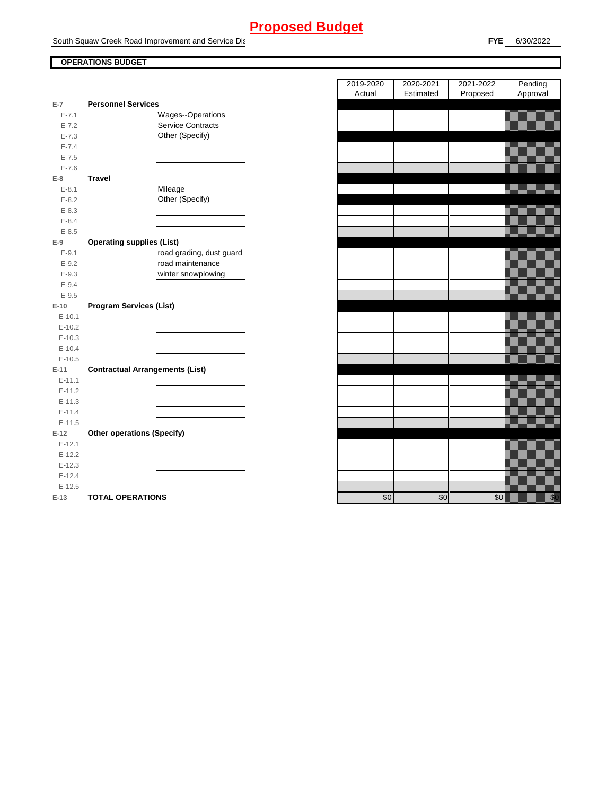South Squaw Creek Road Improvement and Service Dis

### **OPERATIONS BUDGET**

| $E-7$      | <b>Personnel Services</b>              |
|------------|----------------------------------------|
| $E - 7.1$  | Wages--Operations                      |
| $E - 7.2$  | <b>Service Contracts</b>               |
| $E - 7.3$  | Other (Specify)                        |
| $E - 7.4$  |                                        |
| $E - 7.5$  |                                        |
| $E - 7.6$  |                                        |
| $E-8$      | <b>Travel</b>                          |
| $E - 8.1$  | Mileage                                |
| $E - 8.2$  | Other (Specify)                        |
| $E - 8.3$  |                                        |
| $E - 8.4$  |                                        |
| $E - 8.5$  |                                        |
| $E-9$      | <b>Operating supplies (List)</b>       |
| $E-9.1$    | road grading, dust guard               |
| $E-9.2$    | road maintenance                       |
| $E - 9.3$  | winter snowplowing                     |
| $E - 9.4$  |                                        |
| $E - 9.5$  |                                        |
| $E-10$     | <b>Program Services (List)</b>         |
| $E - 10.1$ |                                        |
| $E-10.2$   |                                        |
| $E-10.3$   |                                        |
| $E - 10.4$ |                                        |
| $E-10.5$   |                                        |
| $E-11$     | <b>Contractual Arrangements (List)</b> |
| $E - 11.1$ |                                        |
| $E-11.2$   |                                        |
| $E - 11.3$ |                                        |
| $E - 11.4$ |                                        |
| $E-11.5$   |                                        |
| $E-12$     | <b>Other operations (Specify)</b>      |
| $E-12.1$   |                                        |
| $E-12.2$   |                                        |
| $E-12.3$   |                                        |
| $E-12.4$   |                                        |
| $E-12.5$   |                                        |
| E-13       | <b>TOTAL OPERATIONS</b>                |

|           |                                        | 2019-2020<br>Actual | 2020-2021<br>Estimated | 2021-2022<br>Proposed | Pending<br>Approval                                                                                                                                                                                                              |
|-----------|----------------------------------------|---------------------|------------------------|-----------------------|----------------------------------------------------------------------------------------------------------------------------------------------------------------------------------------------------------------------------------|
| $E-7$     | <b>Personnel Services</b>              |                     |                        |                       |                                                                                                                                                                                                                                  |
| $E - 7.1$ | Wages--Operations                      |                     |                        |                       |                                                                                                                                                                                                                                  |
| $E - 7.2$ | Service Contracts                      |                     |                        |                       |                                                                                                                                                                                                                                  |
| $E - 7.3$ | Other (Specify)                        |                     |                        |                       |                                                                                                                                                                                                                                  |
| $E - 7.4$ |                                        |                     |                        |                       |                                                                                                                                                                                                                                  |
| $E - 7.5$ |                                        |                     |                        |                       |                                                                                                                                                                                                                                  |
| $E - 7.6$ |                                        |                     |                        |                       |                                                                                                                                                                                                                                  |
| E-8       | <b>Travel</b>                          |                     |                        |                       |                                                                                                                                                                                                                                  |
| $E-8.1$   | Mileage                                |                     |                        |                       |                                                                                                                                                                                                                                  |
| $E - 8.2$ | Other (Specify)                        |                     |                        |                       |                                                                                                                                                                                                                                  |
| $E - 8.3$ |                                        |                     |                        |                       |                                                                                                                                                                                                                                  |
| $E - 8.4$ |                                        |                     |                        |                       |                                                                                                                                                                                                                                  |
| $E-8.5$   |                                        |                     |                        |                       |                                                                                                                                                                                                                                  |
| $E-9$     | <b>Operating supplies (List)</b>       |                     |                        |                       |                                                                                                                                                                                                                                  |
| $E-9.1$   | road grading, dust guard               |                     |                        |                       |                                                                                                                                                                                                                                  |
| $E-9.2$   | road maintenance                       |                     |                        |                       |                                                                                                                                                                                                                                  |
| $E - 9.3$ | winter snowplowing                     |                     |                        |                       |                                                                                                                                                                                                                                  |
| $E - 9.4$ |                                        |                     |                        |                       |                                                                                                                                                                                                                                  |
| $E-9.5$   |                                        |                     |                        |                       |                                                                                                                                                                                                                                  |
| $E-10$    | <b>Program Services (List)</b>         |                     |                        |                       |                                                                                                                                                                                                                                  |
| $E-10.1$  |                                        |                     |                        |                       |                                                                                                                                                                                                                                  |
| $E-10.2$  |                                        |                     |                        |                       |                                                                                                                                                                                                                                  |
| $E-10.3$  |                                        |                     |                        |                       |                                                                                                                                                                                                                                  |
| $E-10.4$  |                                        |                     |                        |                       |                                                                                                                                                                                                                                  |
| $E-10.5$  |                                        |                     |                        |                       |                                                                                                                                                                                                                                  |
| E-11      | <b>Contractual Arrangements (List)</b> |                     |                        |                       |                                                                                                                                                                                                                                  |
| $E-11.1$  |                                        |                     |                        |                       |                                                                                                                                                                                                                                  |
| $E-11.2$  |                                        |                     |                        |                       |                                                                                                                                                                                                                                  |
| $E-11.3$  |                                        |                     |                        |                       |                                                                                                                                                                                                                                  |
| $E-11.4$  |                                        |                     |                        |                       |                                                                                                                                                                                                                                  |
| $E-11.5$  |                                        |                     |                        |                       |                                                                                                                                                                                                                                  |
| $E-12$    | <b>Other operations (Specify)</b>      |                     |                        |                       |                                                                                                                                                                                                                                  |
| $E-12.1$  |                                        |                     |                        |                       |                                                                                                                                                                                                                                  |
| $E-12.2$  |                                        |                     |                        |                       |                                                                                                                                                                                                                                  |
| $E-12.3$  |                                        |                     |                        |                       |                                                                                                                                                                                                                                  |
| $E-12.4$  |                                        |                     |                        |                       |                                                                                                                                                                                                                                  |
| $E-12.5$  |                                        |                     |                        |                       |                                                                                                                                                                                                                                  |
| $E-13$    | <b>TOTAL OPERATIONS</b>                | \$0                 | \$0                    | \$0                   | en de la familie de la familie de la familie de la familie de la familie de la familie de la familie de la fam<br>De la familie de la familie de la familie de la familie de la familie de la familie de la familie de la famili |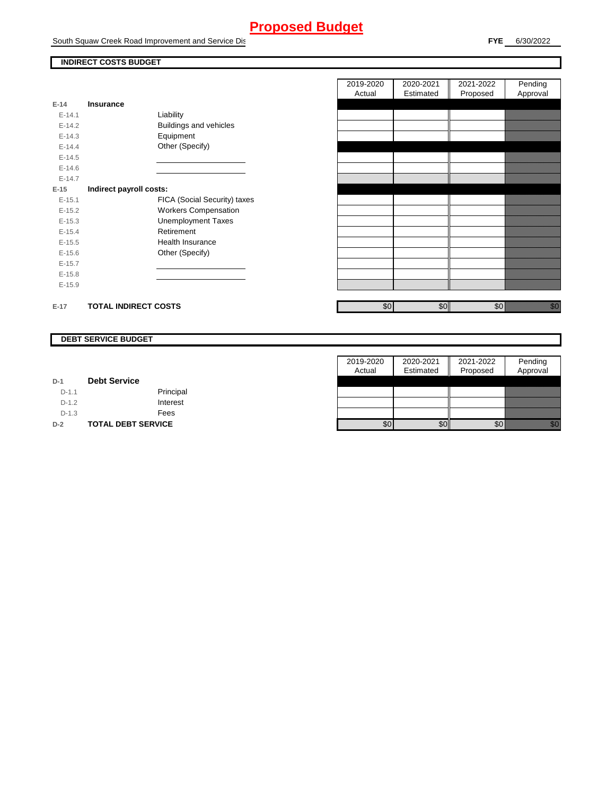South Squaw Creek Road Improvement and Service Dist

## **INDIRECT COSTS BUDGET**

| E-14       | <b>Insurance</b>             |
|------------|------------------------------|
| $F-141$    | Liability                    |
| $E-14.2$   | Buildings and vehicles       |
| $F-14.3$   | Equipment                    |
| $F-144$    | Other (Specify)              |
| $E-14.5$   |                              |
| $F-146$    |                              |
| $F-147$    |                              |
| $E-15$     | Indirect payroll costs:      |
| $E - 15.1$ | FICA (Social Security) taxes |
| $E-15.2$   | <b>Workers Compensation</b>  |
| $E - 15.3$ | <b>Unemployment Taxes</b>    |
| $E-15.4$   | Retirement                   |
| $E-15.5$   | Health Insurance             |
| $E - 15.6$ | Other (Specify)              |
| $E-15.7$   |                              |
| $E-15.8$   |                              |
| $E-15.9$   |                              |
|            |                              |
| $E-17$     | <b>TOTAL INDIRECT COSTS</b>  |

| 2019-2020 | 2020-2021 | 2021-2022 | Pending  |
|-----------|-----------|-----------|----------|
| Actual    | Estimated | Proposed  | Approval |
|           |           |           |          |
|           |           |           |          |
|           |           |           |          |
|           |           |           |          |
|           |           |           |          |
|           |           |           |          |
|           |           |           |          |
|           |           |           |          |
|           |           |           |          |
|           |           |           |          |
|           |           |           |          |
|           |           |           |          |
|           |           |           |          |
|           |           |           |          |
|           |           |           |          |
|           |           |           |          |
|           |           |           |          |
|           |           |           |          |
|           |           |           |          |
| \$0       | \$0       | \$0       |          |

#### **DEBT SERVICE BUDGET**

|         |                           | 2019-2020 | 2020-2021 | 2021-2022 | Pending                                                                                                                                                                                                                          |
|---------|---------------------------|-----------|-----------|-----------|----------------------------------------------------------------------------------------------------------------------------------------------------------------------------------------------------------------------------------|
|         |                           | Actual    | Estimated | Proposed  | Approval                                                                                                                                                                                                                         |
| $D-1$   | <b>Debt Service</b>       |           |           |           |                                                                                                                                                                                                                                  |
| $D-1.1$ | Principal                 |           |           |           |                                                                                                                                                                                                                                  |
| $D-1.2$ | Interest                  |           |           |           |                                                                                                                                                                                                                                  |
| $D-1.3$ | Fees                      |           |           |           |                                                                                                                                                                                                                                  |
| $D-2$   | <b>TOTAL DEBT SERVICE</b> | \$0       | \$0       | \$0       | en de la familie de la familie de la familie de la familie de la familie de la familie de la familie de la fam<br>De la familie de la familie de la familie de la familie de la familie de la familie de la familie de la famili |